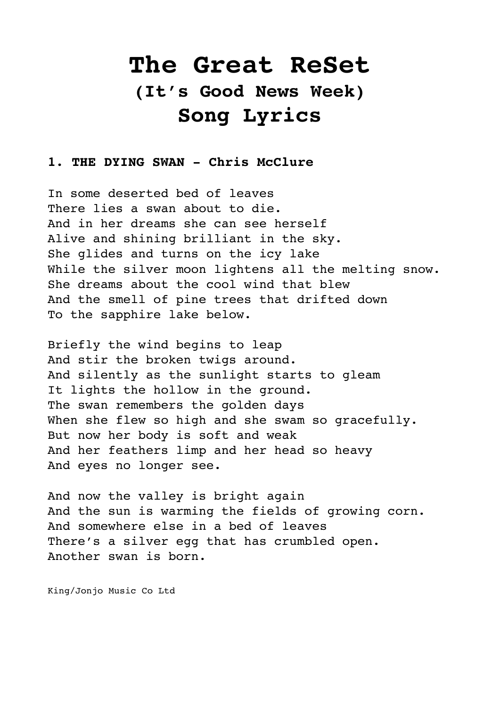# **The Great ReSet (It's Good News Week) Song Lyrics**

# **1. THE DYING SWAN - Chris McClure**

In some deserted bed of leaves There lies a swan about to die. And in her dreams she can see herself Alive and shining brilliant in the sky. She glides and turns on the icy lake While the silver moon lightens all the melting snow. She dreams about the cool wind that blew And the smell of pine trees that drifted down To the sapphire lake below.

Briefly the wind begins to leap And stir the broken twigs around. And silently as the sunlight starts to gleam It lights the hollow in the ground. The swan remembers the golden days When she flew so high and she swam so gracefully. But now her body is soft and weak And her feathers limp and her head so heavy And eyes no longer see.

And now the valley is bright again And the sun is warming the fields of growing corn. And somewhere else in a bed of leaves There's a silver egg that has crumbled open. Another swan is born.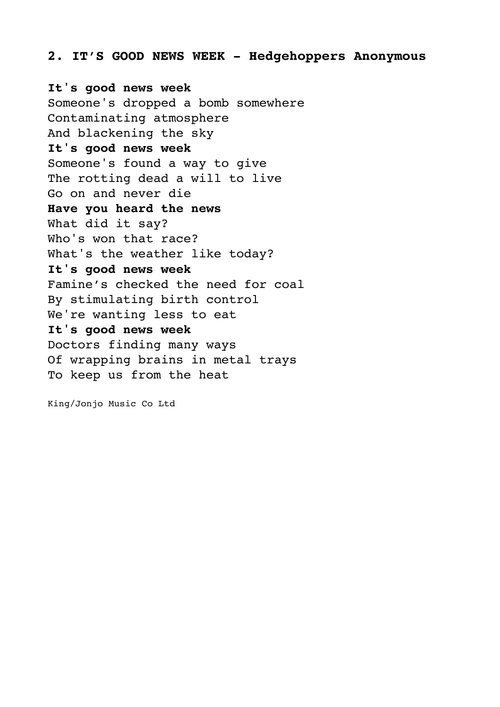# **2. IT'S GOOD NEWS WEEK - Hedgehoppers Anonymous**

**It's good news week** Someone's dropped a bomb somewhere Contaminating atmosphere And blackening the sky **It's good news week** Someone's found a way to give The rotting dead a will to live Go on and never die **Have you heard the news** What did it say? Who's won that race? What's the weather like today? **It's good news week** Famine's checked the need for coal By stimulating birth control We're wanting less to eat **It's good news week** Doctors finding many ways Of wrapping brains in metal trays To keep us from the heat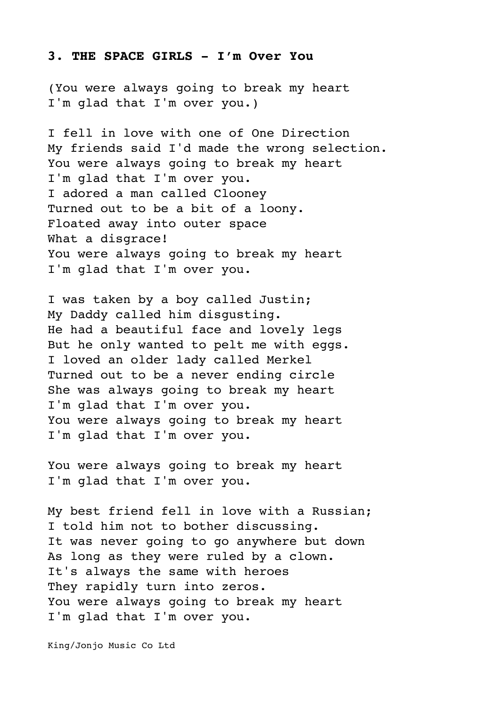# **3. THE SPACE GIRLS - I'm Over You**

(You were always going to break my heart I'm glad that I'm over you.)

I fell in love with one of One Direction My friends said I'd made the wrong selection. You were always going to break my heart I'm glad that I'm over you. I adored a man called Clooney Turned out to be a bit of a loony. Floated away into outer space What a disgrace! You were always going to break my heart I'm glad that I'm over you.

I was taken by a boy called Justin; My Daddy called him disgusting. He had a beautiful face and lovely legs But he only wanted to pelt me with eggs. I loved an older lady called Merkel Turned out to be a never ending circle She was always going to break my heart I'm glad that I'm over you. You were always going to break my heart I'm glad that I'm over you.

You were always going to break my heart I'm glad that I'm over you.

My best friend fell in love with a Russian; I told him not to bother discussing. It was never going to go anywhere but down As long as they were ruled by a clown. It's always the same with heroes They rapidly turn into zeros. You were always going to break my heart I'm glad that I'm over you.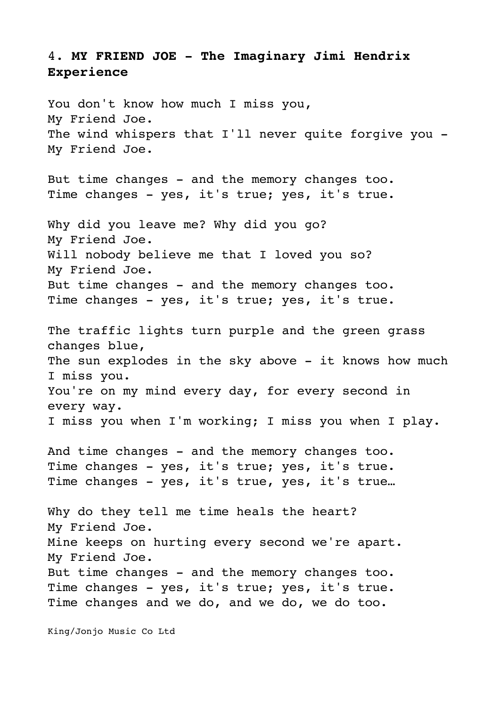# 4. **MY FRIEND JOE - The Imaginary Jimi Hendrix Experience**

You don't know how much I miss you, My Friend Joe. The wind whispers that I'll never quite forgive you -My Friend Joe. But time changes - and the memory changes too. Time changes - yes, it's true; yes, it's true. Why did you leave me? Why did you go? My Friend Joe. Will nobody believe me that I loved you so? My Friend Joe. But time changes - and the memory changes too. Time changes - yes, it's true; yes, it's true. The traffic lights turn purple and the green grass changes blue, The sun explodes in the sky above - it knows how much I miss you. You're on my mind every day, for every second in every way. I miss you when I'm working; I miss you when I play. And time changes - and the memory changes too. Time changes - yes, it's true; yes, it's true. Time changes - yes, it's true, yes, it's true… Why do they tell me time heals the heart? My Friend Joe. Mine keeps on hurting every second we're apart. My Friend Joe. But time changes - and the memory changes too. Time changes - yes, it's true; yes, it's true. Time changes and we do, and we do, we do too.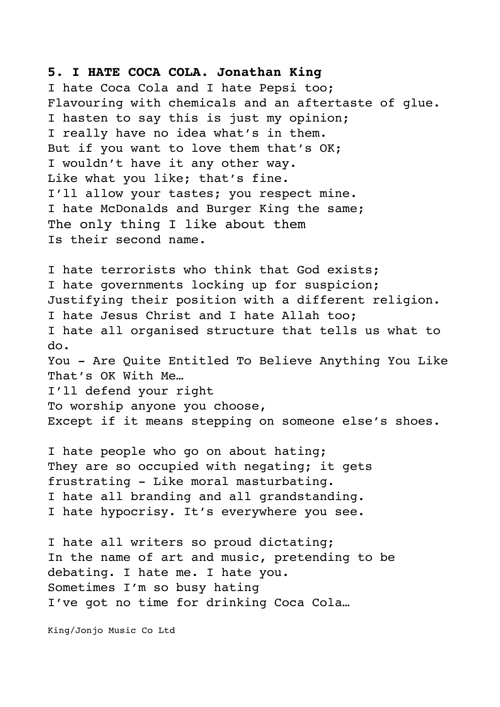#### **5. I HATE COCA COLA. Jonathan King**

I hate Coca Cola and I hate Pepsi too; Flavouring with chemicals and an aftertaste of glue. I hasten to say this is just my opinion; I really have no idea what's in them. But if you want to love them that's OK; I wouldn't have it any other way. Like what you like; that's fine. I'll allow your tastes; you respect mine. I hate McDonalds and Burger King the same; The only thing I like about them Is their second name.

I hate terrorists who think that God exists; I hate governments locking up for suspicion; Justifying their position with a different religion. I hate Jesus Christ and I hate Allah too; I hate all organised structure that tells us what to do. You - Are Quite Entitled To Believe Anything You Like That's OK With Me… I'll defend your right To worship anyone you choose, Except if it means stepping on someone else's shoes.

I hate people who go on about hating; They are so occupied with negating; it gets frustrating - Like moral masturbating. I hate all branding and all grandstanding. I hate hypocrisy. It's everywhere you see.

I hate all writers so proud dictating; In the name of art and music, pretending to be debating. I hate me. I hate you. Sometimes I'm so busy hating I've got no time for drinking Coca Cola…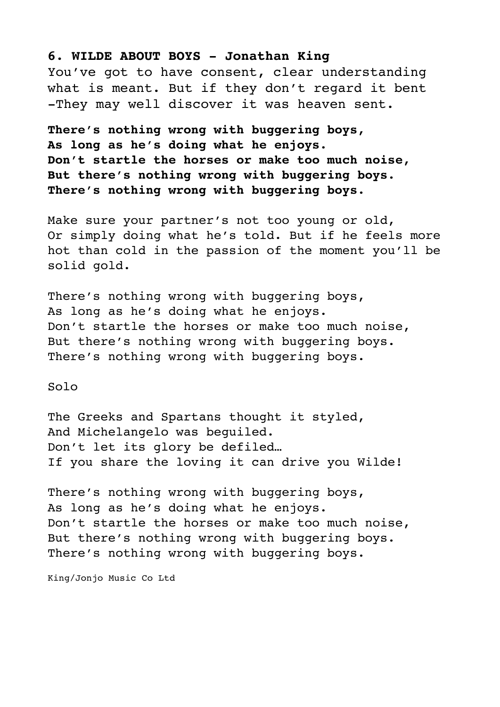#### **6. WILDE ABOUT BOYS - Jonathan King**

You've got to have consent, clear understanding what is meant. But if they don't regard it bent -They may well discover it was heaven sent.

**There's nothing wrong with buggering boys, As long as he's doing what he enjoys. Don't startle the horses or make too much noise, But there's nothing wrong with buggering boys. There's nothing wrong with buggering boys.**

Make sure your partner's not too young or old, Or simply doing what he's told. But if he feels more hot than cold in the passion of the moment you'll be solid gold.

There's nothing wrong with buggering boys, As long as he's doing what he enjoys. Don't startle the horses or make too much noise, But there's nothing wrong with buggering boys. There's nothing wrong with buggering boys.

Solo

The Greeks and Spartans thought it styled, And Michelangelo was beguiled. Don't let its glory be defiled… If you share the loving it can drive you Wilde!

There's nothing wrong with buggering boys, As long as he's doing what he enjoys. Don't startle the horses or make too much noise, But there's nothing wrong with buggering boys. There's nothing wrong with buggering boys.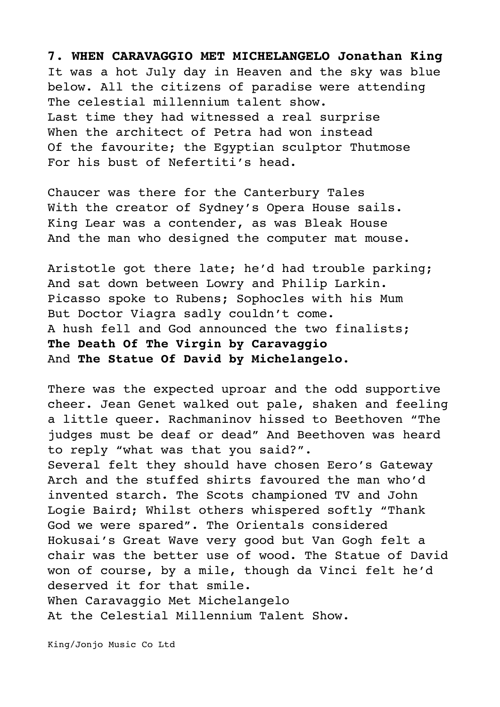**7. WHEN CARAVAGGIO MET MICHELANGELO Jonathan King** It was a hot July day in Heaven and the sky was blue below. All the citizens of paradise were attending The celestial millennium talent show. Last time they had witnessed a real surprise When the architect of Petra had won instead Of the favourite; the Egyptian sculptor Thutmose For his bust of Nefertiti's head.

Chaucer was there for the Canterbury Tales With the creator of Sydney's Opera House sails. King Lear was a contender, as was Bleak House And the man who designed the computer mat mouse.

Aristotle got there late; he'd had trouble parking; And sat down between Lowry and Philip Larkin. Picasso spoke to Rubens; Sophocles with his Mum But Doctor Viagra sadly couldn't come. A hush fell and God announced the two finalists; **The Death Of The Virgin by Caravaggio** And **The Statue Of David by Michelangelo.**

There was the expected uproar and the odd supportive cheer. Jean Genet walked out pale, shaken and feeling a little queer. Rachmaninov hissed to Beethoven "The judges must be deaf or dead" And Beethoven was heard to reply "what was that you said?". Several felt they should have chosen Eero's Gateway Arch and the stuffed shirts favoured the man who'd invented starch. The Scots championed TV and John Logie Baird; Whilst others whispered softly "Thank God we were spared". The Orientals considered Hokusai's Great Wave very good but Van Gogh felt a chair was the better use of wood. The Statue of David won of course, by a mile, though da Vinci felt he'd deserved it for that smile. When Caravaggio Met Michelangelo At the Celestial Millennium Talent Show.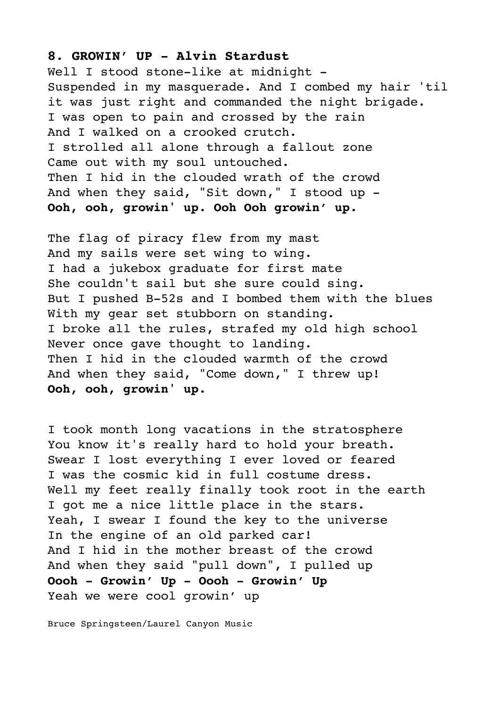# **8. GROWIN' UP - Alvin Stardust**

Well I stood stone-like at midnight -Suspended in my masquerade. And I combed my hair 'til it was just right and commanded the night brigade. I was open to pain and crossed by the rain And I walked on a crooked crutch. I strolled all alone through a fallout zone Came out with my soul untouched. Then I hid in the clouded wrath of the crowd And when they said, "Sit down," I stood up - **Ooh, ooh, growin' up. Ooh Ooh growin' up.**

The flag of piracy flew from my mast And my sails were set wing to wing. I had a jukebox graduate for first mate She couldn't sail but she sure could sing. But I pushed B-52s and I bombed them with the blues With my gear set stubborn on standing. I broke all the rules, strafed my old high school Never once gave thought to landing. Then I hid in the clouded warmth of the crowd And when they said, "Come down," I threw up! **Ooh, ooh, growin' up.**

I took month long vacations in the stratosphere You know it's really hard to hold your breath. Swear I lost everything I ever loved or feared I was the cosmic kid in full costume dress. Well my feet really finally took root in the earth I got me a nice little place in the stars. Yeah, I swear I found the key to the universe In the engine of an old parked car! And I hid in the mother breast of the crowd And when they said "pull down", I pulled up **Oooh - Growin' Up - Oooh - Growin' Up** Yeah we were cool growin' up

Bruce Springsteen/Laurel Canyon Music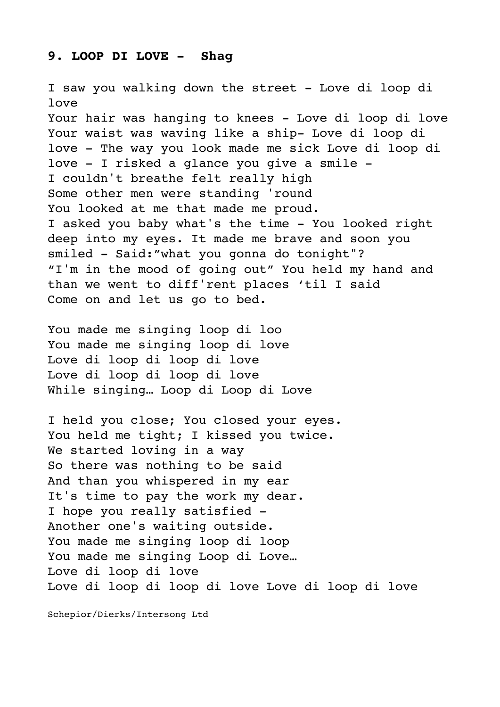## **9. LOOP DI LOVE - Shag**

I saw you walking down the street - Love di loop di love Your hair was hanging to knees - Love di loop di love Your waist was waving like a ship- Love di loop di love - The way you look made me sick Love di loop di love - I risked a glance you give a smile - I couldn't breathe felt really high Some other men were standing 'round You looked at me that made me proud. I asked you baby what's the time - You looked right deep into my eyes. It made me brave and soon you smiled - Said:"what you gonna do tonight"? "I'm in the mood of going out" You held my hand and than we went to diff'rent places 'til I said Come on and let us go to bed.

You made me singing loop di loo You made me singing loop di love Love di loop di loop di love Love di loop di loop di love While singing… Loop di Loop di Love

I held you close; You closed your eyes. You held me tight; I kissed you twice. We started loving in a way So there was nothing to be said And than you whispered in my ear It's time to pay the work my dear. I hope you really satisfied - Another one's waiting outside. You made me singing loop di loop You made me singing Loop di Love… Love di loop di love Love di loop di loop di love Love di loop di love

Schepior/Dierks/Intersong Ltd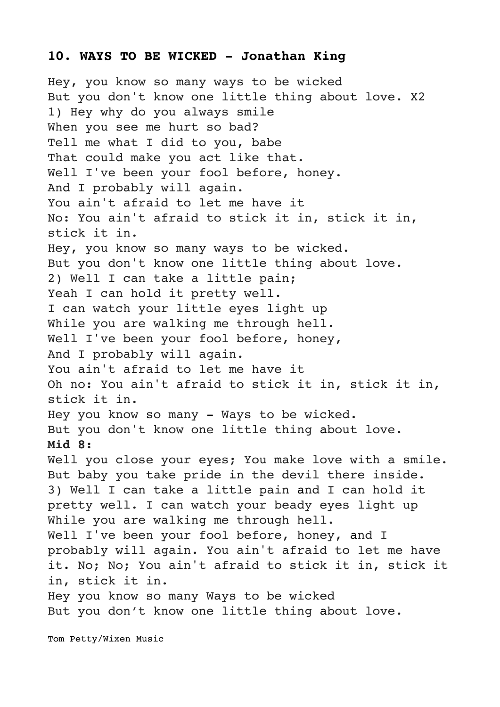# **10. WAYS TO BE WICKED - Jonathan King**

Hey, you know so many ways to be wicked But you don't know one little thing about love. X2 1) Hey why do you always smile When you see me hurt so bad? Tell me what I did to you, babe That could make you act like that. Well I've been your fool before, honey. And I probably will again. You ain't afraid to let me have it No: You ain't afraid to stick it in, stick it in, stick it in. Hey, you know so many ways to be wicked. But you don't know one little thing about love. 2) Well I can take a little pain; Yeah I can hold it pretty well. I can watch your little eyes light up While you are walking me through hell. Well I've been your fool before, honey, And I probably will again. You ain't afraid to let me have it Oh no: You ain't afraid to stick it in, stick it in, stick it in. Hey you know so many - Ways to be wicked. But you don't know one little thing about love. **Mid 8:** Well you close your eyes; You make love with a smile. But baby you take pride in the devil there inside. 3) Well I can take a little pain and I can hold it pretty well. I can watch your beady eyes light up While you are walking me through hell. Well I've been your fool before, honey, and I probably will again. You ain't afraid to let me have it. No; No; You ain't afraid to stick it in, stick it in, stick it in. Hey you know so many Ways to be wicked But you don't know one little thing about love.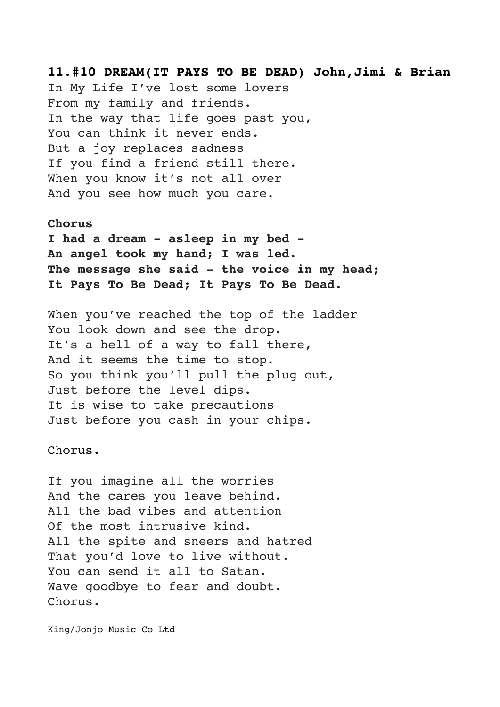## **11.#10 DREAM(IT PAYS TO BE DEAD) John,Jimi & Brian**

In My Life I've lost some lovers From my family and friends. In the way that life goes past you, You can think it never ends. But a joy replaces sadness If you find a friend still there. When you know it's not all over And you see how much you care.

#### **Chorus**

**I had a dream - asleep in my bed - An angel took my hand; I was led. The message she said - the voice in my head; It Pays To Be Dead; It Pays To Be Dead.**

When you've reached the top of the ladder You look down and see the drop. It's a hell of a way to fall there, And it seems the time to stop. So you think you'll pull the plug out, Just before the level dips. It is wise to take precautions Just before you cash in your chips.

Chorus.

If you imagine all the worries And the cares you leave behind. All the bad vibes and attention Of the most intrusive kind. All the spite and sneers and hatred That you'd love to live without. You can send it all to Satan. Wave goodbye to fear and doubt. Chorus.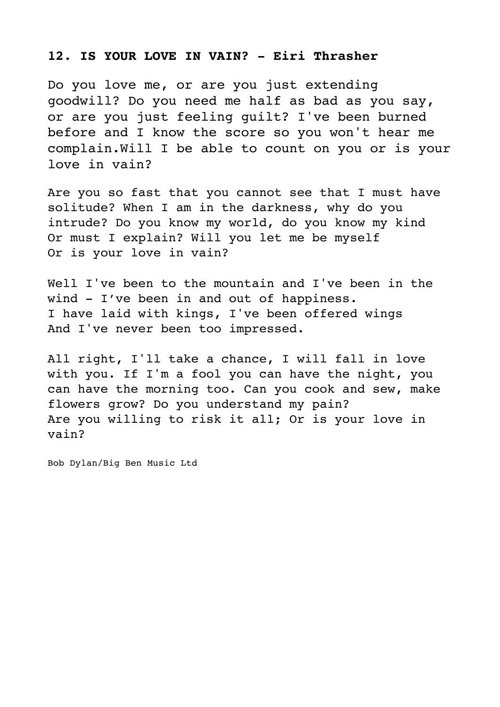# **12. IS YOUR LOVE IN VAIN? - Eiri Thrasher**

Do you love me, or are you just extending goodwill? Do you need me half as bad as you say, or are you just feeling guilt? I've been burned before and I know the score so you won't hear me complain.Will I be able to count on you or is your love in vain?

Are you so fast that you cannot see that I must have solitude? When I am in the darkness, why do you intrude? Do you know my world, do you know my kind Or must I explain? Will you let me be myself Or is your love in vain?

Well I've been to the mountain and I've been in the wind - I've been in and out of happiness. I have laid with kings, I've been offered wings And I've never been too impressed.

All right, I'll take a chance, I will fall in love with you. If I'm a fool you can have the night, you can have the morning too. Can you cook and sew, make flowers grow? Do you understand my pain? Are you willing to risk it all; Or is your love in vain?

Bob Dylan/Big Ben Music Ltd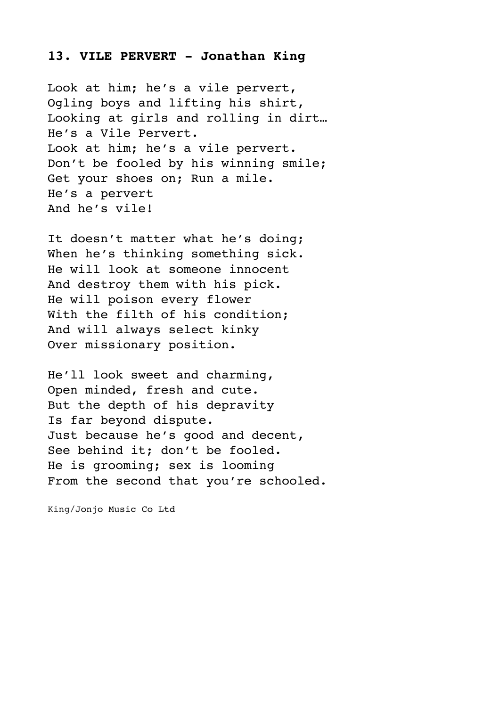## **13. VILE PERVERT - Jonathan King**

Look at him; he's a vile pervert, Ogling boys and lifting his shirt, Looking at girls and rolling in dirt… He's a Vile Pervert. Look at him; he's a vile pervert. Don't be fooled by his winning smile; Get your shoes on; Run a mile. He's a pervert And he's vile!

It doesn't matter what he's doing; When he's thinking something sick. He will look at someone innocent And destroy them with his pick. He will poison every flower With the filth of his condition; And will always select kinky Over missionary position.

He'll look sweet and charming, Open minded, fresh and cute. But the depth of his depravity Is far beyond dispute. Just because he's good and decent, See behind it; don't be fooled. He is grooming; sex is looming From the second that you're schooled.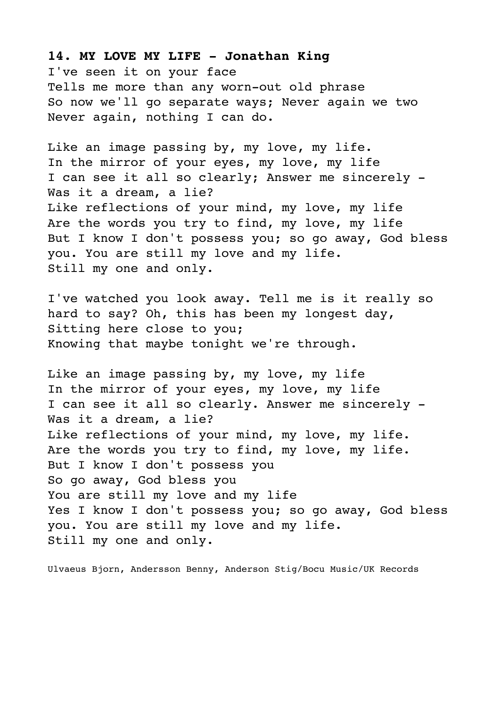#### **14. MY LOVE MY LIFE - Jonathan King**

I've seen it on your face Tells me more than any worn-out old phrase So now we'll go separate ways; Never again we two Never again, nothing I can do.

Like an image passing by, my love, my life. In the mirror of your eyes, my love, my life I can see it all so clearly; Answer me sincerely - Was it a dream, a lie? Like reflections of your mind, my love, my life Are the words you try to find, my love, my life But I know I don't possess you; so go away, God bless you. You are still my love and my life. Still my one and only.

I've watched you look away. Tell me is it really so hard to say? Oh, this has been my longest day, Sitting here close to you; Knowing that maybe tonight we're through.

Like an image passing by, my love, my life In the mirror of your eyes, my love, my life I can see it all so clearly. Answer me sincerely - Was it a dream, a lie? Like reflections of your mind, my love, my life. Are the words you try to find, my love, my life. But I know I don't possess you So go away, God bless you You are still my love and my life Yes I know I don't possess you; so go away, God bless you. You are still my love and my life. Still my one and only.

Ulvaeus Bjorn, Andersson Benny, Anderson Stig/Bocu Music/UK Records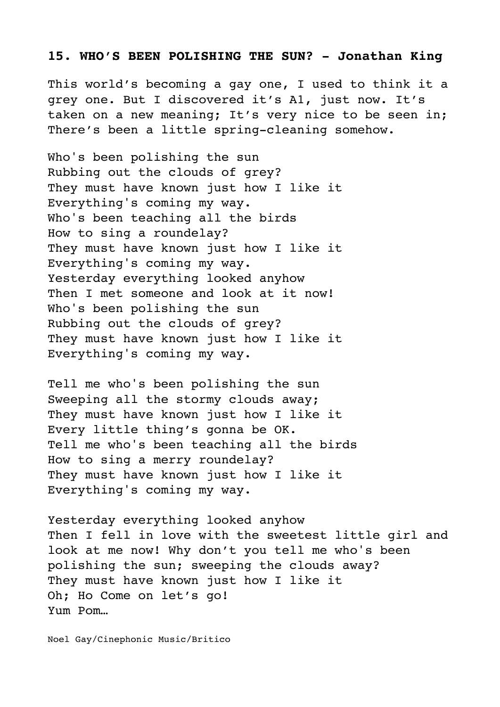#### **15. WHO'S BEEN POLISHING THE SUN? - Jonathan King**

This world's becoming a gay one, I used to think it a grey one. But I discovered it's A1, just now. It's taken on a new meaning; It's very nice to be seen in; There's been a little spring-cleaning somehow.

Who's been polishing the sun Rubbing out the clouds of grey? They must have known just how I like it Everything's coming my way. Who's been teaching all the birds How to sing a roundelay? They must have known just how I like it Everything's coming my way. Yesterday everything looked anyhow Then I met someone and look at it now! Who's been polishing the sun Rubbing out the clouds of grey? They must have known just how I like it Everything's coming my way.

Tell me who's been polishing the sun Sweeping all the stormy clouds away; They must have known just how I like it Every little thing's gonna be OK. Tell me who's been teaching all the birds How to sing a merry roundelay? They must have known just how I like it Everything's coming my way.

Yesterday everything looked anyhow Then I fell in love with the sweetest little girl and look at me now! Why don't you tell me who's been polishing the sun; sweeping the clouds away? They must have known just how I like it Oh; Ho Come on let's go! Yum Pom…

Noel Gay/Cinephonic Music/Britico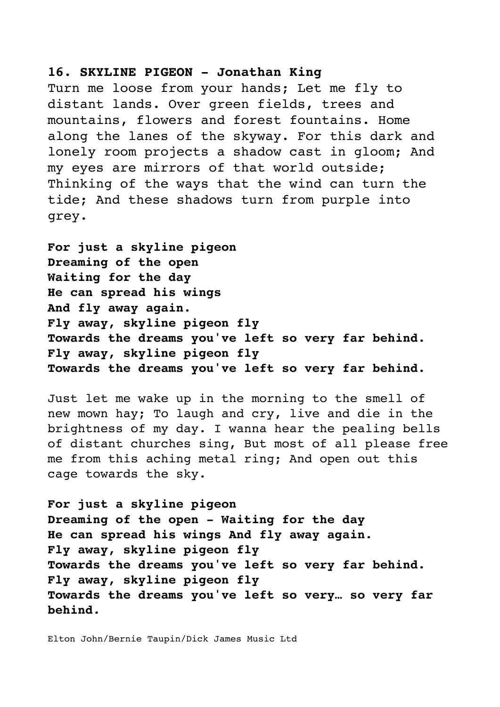#### **16. SKYLINE PIGEON - Jonathan King**

Turn me loose from your hands; Let me fly to distant lands. Over green fields, trees and mountains, flowers and forest fountains. Home along the lanes of the skyway. For this dark and lonely room projects a shadow cast in gloom; And my eyes are mirrors of that world outside; Thinking of the ways that the wind can turn the tide; And these shadows turn from purple into grey.

**For just a skyline pigeon Dreaming of the open Waiting for the day He can spread his wings And fly away again. Fly away, skyline pigeon fly Towards the dreams you've left so very far behind. Fly away, skyline pigeon fly Towards the dreams you've left so very far behind.**

Just let me wake up in the morning to the smell of new mown hay; To laugh and cry, live and die in the brightness of my day. I wanna hear the pealing bells of distant churches sing, But most of all please free me from this aching metal ring; And open out this cage towards the sky.

**For just a skyline pigeon Dreaming of the open - Waiting for the day He can spread his wings And fly away again. Fly away, skyline pigeon fly Towards the dreams you've left so very far behind. Fly away, skyline pigeon fly Towards the dreams you've left so very… so very far behind.**

Elton John/Bernie Taupin/Dick James Music Ltd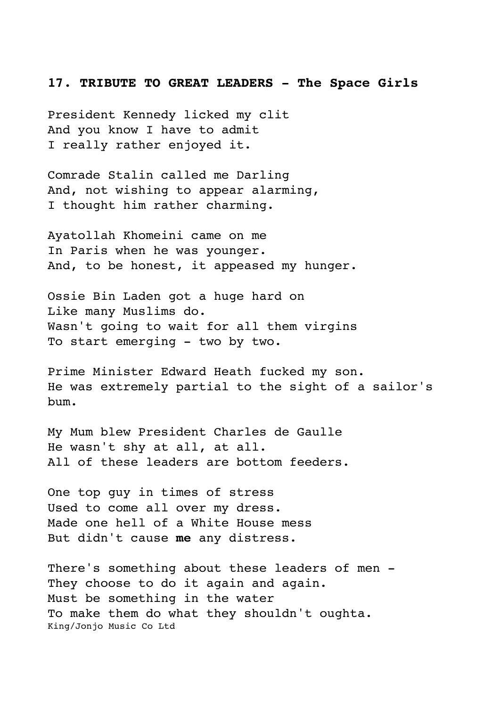#### **17. TRIBUTE TO GREAT LEADERS - The Space Girls**

President Kennedy licked my clit And you know I have to admit I really rather enjoyed it.

Comrade Stalin called me Darling And, not wishing to appear alarming, I thought him rather charming.

Ayatollah Khomeini came on me In Paris when he was younger. And, to be honest, it appeased my hunger.

Ossie Bin Laden got a huge hard on Like many Muslims do. Wasn't going to wait for all them virgins To start emerging - two by two.

Prime Minister Edward Heath fucked my son. He was extremely partial to the sight of a sailor's bum.

My Mum blew President Charles de Gaulle He wasn't shy at all, at all. All of these leaders are bottom feeders.

One top guy in times of stress Used to come all over my dress. Made one hell of a White House mess But didn't cause **me** any distress.

There's something about these leaders of men - They choose to do it again and again. Must be something in the water To make them do what they shouldn't oughta. King/Jonjo Music Co Ltd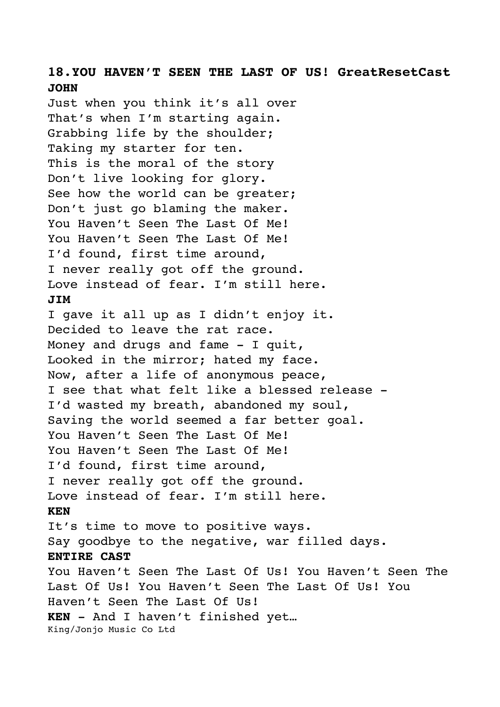# **18.YOU HAVEN'T SEEN THE LAST OF US! GreatResetCast JOHN**

Just when you think it's all over That's when I'm starting again. Grabbing life by the shoulder; Taking my starter for ten. This is the moral of the story Don't live looking for glory. See how the world can be greater; Don't just go blaming the maker. You Haven't Seen The Last Of Me! You Haven't Seen The Last Of Me! I'd found, first time around, I never really got off the ground. Love instead of fear. I'm still here. **JIM** I gave it all up as I didn't enjoy it. Decided to leave the rat race. Money and drugs and fame - I quit, Looked in the mirror; hated my face. Now, after a life of anonymous peace, I see that what felt like a blessed release - I'd wasted my breath, abandoned my soul, Saving the world seemed a far better goal. You Haven't Seen The Last Of Me! You Haven't Seen The Last Of Me! I'd found, first time around, I never really got off the ground. Love instead of fear. I'm still here. **KEN** It's time to move to positive ways. Say goodbye to the negative, war filled days. **ENTIRE CAST** You Haven't Seen The Last Of Us! You Haven't Seen The Last Of Us! You Haven't Seen The Last Of Us! You Haven't Seen The Last Of Us! **KEN** - And I haven't finished yet… King/Jonjo Music Co Ltd